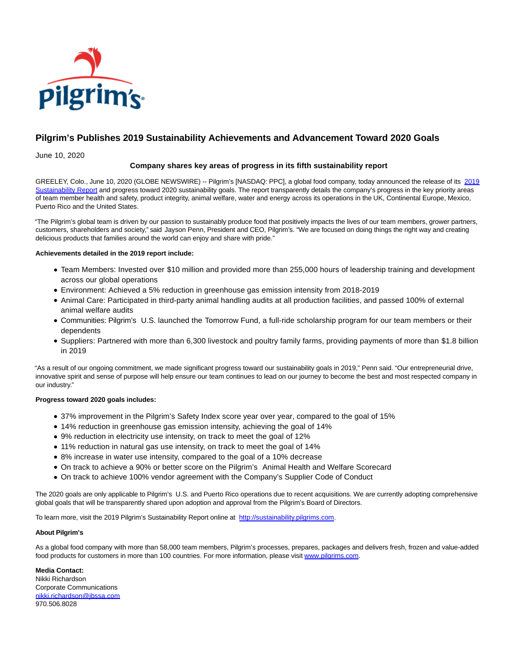

# **Pilgrim's Publishes 2019 Sustainability Achievements and Advancement Toward 2020 Goals**

June 10, 2020

# **Company shares key areas of progress in its fifth sustainability report**

GREELEY, Colo., June 10, 2020 (GLOBE NEWSWIRE) -- Pilgrim's [NASDAQ: PPC], a global food company, today announced the release of its [2019](https://www.globenewswire.com/Tracker?data=KdgnBOMTgvVtFTYceiyvcKXfqW0KI_egUwJyvcYmr-6n3ZJM2xM-lFC3fWnPpDGJZhHL41cda4swWmWO9Qr0n2cyS2-oFhBGyGPjPGBj3dDfTNaygjD_BOt5CUpLNrLp) Sustainability Report and progress toward 2020 sustainability goals. The report transparently details the company's progress in the key priority areas of team member health and safety, product integrity, animal welfare, water and energy across its operations in the UK, Continental Europe, Mexico, Puerto Rico and the United States.

"The Pilgrim's global team is driven by our passion to sustainably produce food that positively impacts the lives of our team members, grower partners, customers, shareholders and society," said Jayson Penn, President and CEO, Pilgrim's. "We are focused on doing things the right way and creating delicious products that families around the world can enjoy and share with pride."

### **Achievements detailed in the 2019 report include:**

- Team Members: Invested over \$10 million and provided more than 255,000 hours of leadership training and development across our global operations
- Environment: Achieved a 5% reduction in greenhouse gas emission intensity from 2018-2019
- Animal Care: Participated in third-party animal handling audits at all production facilities, and passed 100% of external animal welfare audits
- Communities: Pilgrim's U.S. launched the Tomorrow Fund, a full-ride scholarship program for our team members or their dependents
- Suppliers: Partnered with more than 6,300 livestock and poultry family farms, providing payments of more than \$1.8 billion in 2019

"As a result of our ongoing commitment, we made significant progress toward our sustainability goals in 2019," Penn said. "Our entrepreneurial drive, innovative spirit and sense of purpose will help ensure our team continues to lead on our journey to become the best and most respected company in our industry."

## **Progress toward 2020 goals includes:**

- 37% improvement in the Pilgrim's Safety Index score year over year, compared to the goal of 15%
- 14% reduction in greenhouse gas emission intensity, achieving the goal of 14%
- 9% reduction in electricity use intensity, on track to meet the goal of 12%
- 11% reduction in natural gas use intensity, on track to meet the goal of 14%
- 8% increase in water use intensity, compared to the goal of a 10% decrease
- On track to achieve a 90% or better score on the Pilgrim's Animal Health and Welfare Scorecard
- On track to achieve 100% vendor agreement with the Company's Supplier Code of Conduct

The 2020 goals are only applicable to Pilgrim's U.S. and Puerto Rico operations due to recent acquisitions. We are currently adopting comprehensive global goals that will be transparently shared upon adoption and approval from the Pilgrim's Board of Directors.

To learn more, visit the 2019 Pilgrim's Sustainability Report online at [http://sustainability.pilgrims.com.](https://www.globenewswire.com/Tracker?data=0I-URMB_IWNFwlxAqTFngqSp9g0SWMGRi1o4bSzBvT6tyg8f2xozbPpUj3PYL7h917WDJDDhaLWQO8j1Rk2e6UTGMopmbRo7Jttwgbb0tZR8tReJYquMkSMBGHdTipjX)

### **About Pilgrim's**

As a global food company with more than 58,000 team members, Pilgrim's processes, prepares, packages and delivers fresh, frozen and value-added food products for customers in more than 100 countries. For more information, please visit [www.pilgrims.com.](https://www.globenewswire.com/Tracker?data=bxixIXTgTzvOnQg5dZ0nKTKCXWqtwHIPvFUdhnMPbOUVMAP3kQJXZwzX04WFff3Z4QG6wPclAeyHDGHAr6zk7ZxS0qh80jGiF7yBePJOIrrAGU3gvxx3TVjFO48DA3qLp1BdYInasBSAjxF1yobOqomgB2xDeLMaPppCuuXvVfJAxDA8KUzcmHJlf3c-u2LJ-2vHLK2_k2EeR5LyzgZiR6dIuHXhjYgl1U_pzyP7MuM=)

#### **Media Contact:**

Nikki Richardson Corporate Communications [nikki.richardson@jbssa.com](mailto:nikki.richardson@jbssa.com) 970.506.8028